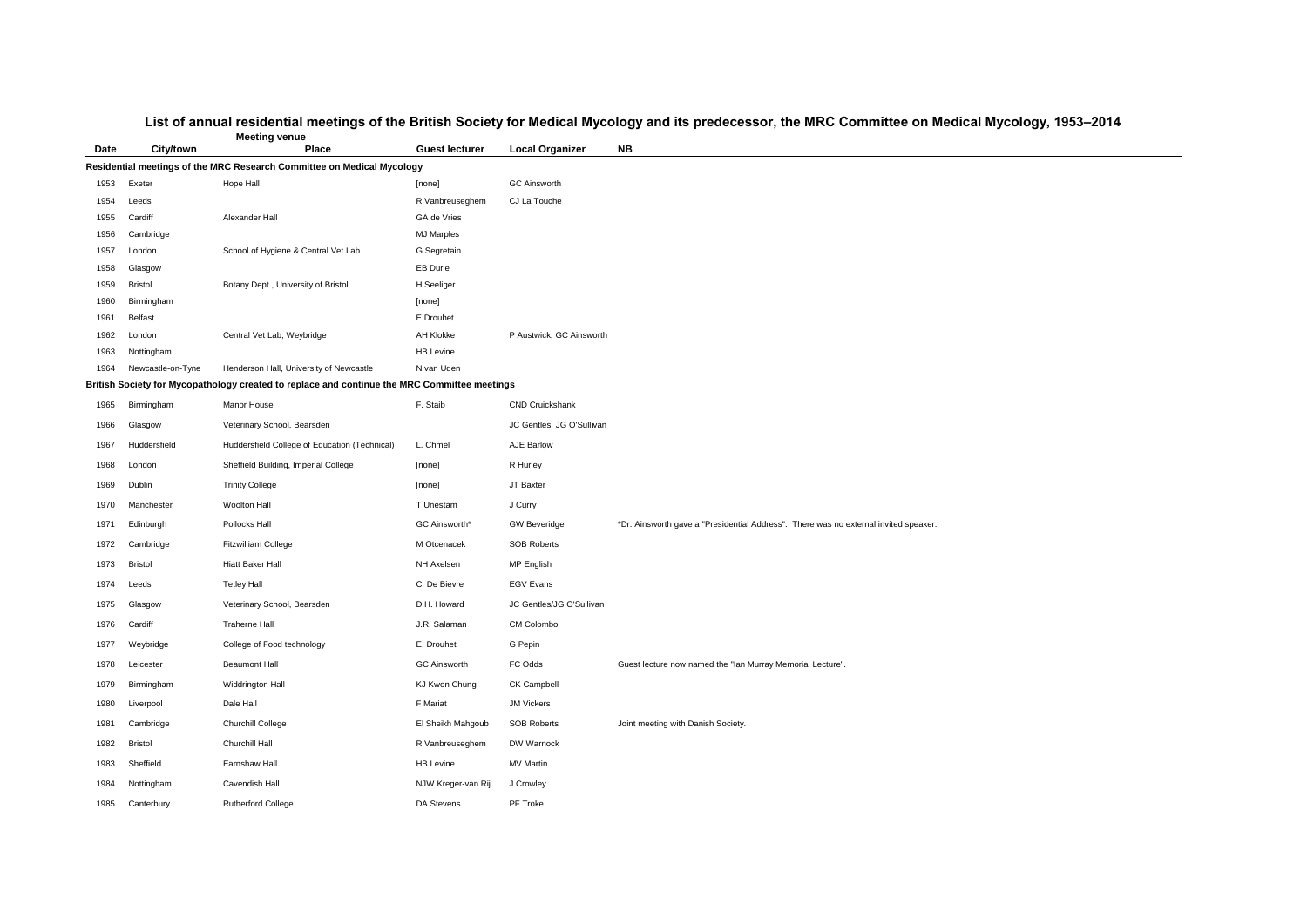## **List of annual residential meetings of the British Society for Medical Mycology and its predecessor, the MRC Committee on Medical Mycology, 1953–2014**

I Address". There was no external invited speaker.

Murray Memorial Lecture".

| <b>Meeting venue</b> |                      |                                                                                              |                               |                           |                                     |  |  |  |
|----------------------|----------------------|----------------------------------------------------------------------------------------------|-------------------------------|---------------------------|-------------------------------------|--|--|--|
| <b>Date</b>          | <b>City/town</b>     | <b>Place</b>                                                                                 | <b>Guest lecturer</b>         | <b>Local Organizer</b>    | <b>NB</b>                           |  |  |  |
|                      |                      | Residential meetings of the MRC Research Committee on Medical Mycology                       |                               |                           |                                     |  |  |  |
| 1953                 | Exeter               | Hope Hall                                                                                    | [none]                        | <b>GC Ainsworth</b>       |                                     |  |  |  |
| 1954                 | Leeds                |                                                                                              | R Vanbreuseghem               | CJ La Touche              |                                     |  |  |  |
| 1955                 | Cardiff              | Alexander Hall                                                                               | GA de Vries                   |                           |                                     |  |  |  |
| 1956                 | Cambridge            |                                                                                              | <b>MJ Marples</b>             |                           |                                     |  |  |  |
| 1957                 | London               | School of Hygiene & Central Vet Lab                                                          | G Segretain                   |                           |                                     |  |  |  |
| 1958                 | Glasgow              |                                                                                              | <b>EB Durie</b>               |                           |                                     |  |  |  |
| 1959                 | <b>Bristol</b>       | Botany Dept., University of Bristol                                                          | H Seeliger                    |                           |                                     |  |  |  |
| 1960                 | Birmingham           |                                                                                              | [none]                        |                           |                                     |  |  |  |
| 1961                 | <b>Belfast</b>       | Central Vet Lab, Weybridge                                                                   | E Drouhet<br><b>AH Klokke</b> |                           |                                     |  |  |  |
| 1962<br>1963         | London<br>Nottingham |                                                                                              | <b>HB Levine</b>              | P Austwick, GC Ainsworth  |                                     |  |  |  |
| 1964                 | Newcastle-on-Tyne    | Henderson Hall, University of Newcastle                                                      | N van Uden                    |                           |                                     |  |  |  |
|                      |                      | British Society for Mycopathology created to replace and continue the MRC Committee meetings |                               |                           |                                     |  |  |  |
| 1965                 | Birmingham           | <b>Manor House</b>                                                                           | F. Staib                      | <b>CND Cruickshank</b>    |                                     |  |  |  |
| 1966                 | Glasgow              | Veterinary School, Bearsden                                                                  |                               | JC Gentles, JG O'Sullivan |                                     |  |  |  |
| 1967                 | Huddersfield         | Huddersfield College of Education (Technical)                                                | L. Chmel                      | <b>AJE Barlow</b>         |                                     |  |  |  |
| 1968                 | London               | Sheffield Building, Imperial College                                                         | [none]                        | R Hurley                  |                                     |  |  |  |
| 1969                 | Dublin               | <b>Trinity College</b>                                                                       | [none]                        | JT Baxter                 |                                     |  |  |  |
| 1970                 | Manchester           | Woolton Hall                                                                                 | T Unestam                     | J Curry                   |                                     |  |  |  |
| 1971                 | Edinburgh            | Pollocks Hall                                                                                | <b>GC Ainsworth*</b>          | <b>GW Beveridge</b>       | *Dr. Ainsworth gave a "Presidential |  |  |  |
| 1972                 | Cambridge            | <b>Fitzwilliam College</b>                                                                   | M Otcenacek                   | <b>SOB Roberts</b>        |                                     |  |  |  |
| 1973                 | <b>Bristol</b>       | <b>Hiatt Baker Hall</b>                                                                      | NH Axelsen                    | MP English                |                                     |  |  |  |
| 1974                 | Leeds                | <b>Tetley Hall</b>                                                                           | C. De Bievre                  | <b>EGV Evans</b>          |                                     |  |  |  |
| 1975                 | Glasgow              | Veterinary School, Bearsden                                                                  | D.H. Howard                   | JC Gentles/JG O'Sullivan  |                                     |  |  |  |
| 1976                 | Cardiff              | <b>Traherne Hall</b>                                                                         | J.R. Salaman                  | CM Colombo                |                                     |  |  |  |
| 1977                 | Weybridge            | College of Food technology                                                                   | E. Drouhet                    | G Pepin                   |                                     |  |  |  |
| 1978                 | Leicester            | <b>Beaumont Hall</b>                                                                         | <b>GC Ainsworth</b>           | FC Odds                   | Guest lecture now named the "lan N  |  |  |  |
| 1979                 | Birmingham           | Widdrington Hall                                                                             | KJ Kwon Chung                 | <b>CK Campbell</b>        |                                     |  |  |  |
| 1980                 | Liverpool            | Dale Hall                                                                                    | F Mariat                      | <b>JM Vickers</b>         |                                     |  |  |  |
| 1981                 | Cambridge            | <b>Churchill College</b>                                                                     | El Sheikh Mahgoub             | <b>SOB Roberts</b>        | Joint meeting with Danish Society.  |  |  |  |
| 1982                 | <b>Bristol</b>       | Churchill Hall                                                                               | R Vanbreuseghem               | DW Warnock                |                                     |  |  |  |
| 1983                 | Sheffield            | Earnshaw Hall                                                                                | <b>HB Levine</b>              | <b>MV Martin</b>          |                                     |  |  |  |
| 1984                 | Nottingham           | Cavendish Hall                                                                               | NJW Kreger-van Rij            | J Crowley                 |                                     |  |  |  |
| 1985                 | Canterbury           | <b>Rutherford College</b>                                                                    | DA Stevens                    | PF Troke                  |                                     |  |  |  |